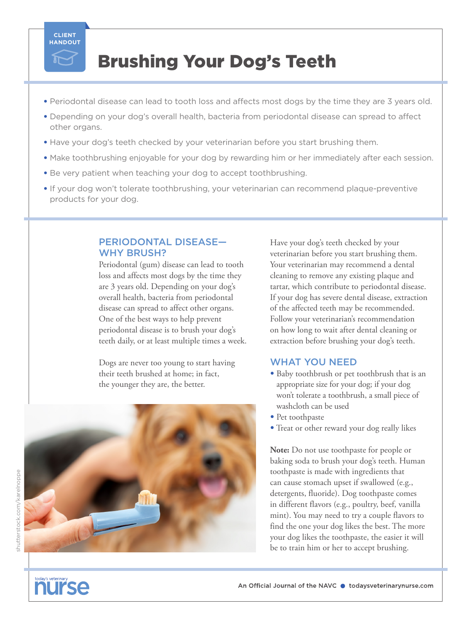

## Brushing Your Dog's Teeth

- Periodontal disease can lead to tooth loss and affects most dogs by the time they are 3 years old.
- Depending on your dog's overall health, bacteria from periodontal disease can spread to affect other organs.
- Have your dog's teeth checked by your veterinarian before you start brushing them.
- Make toothbrushing enjoyable for your dog by rewarding him or her immediately after each session.
- Be very patient when teaching your dog to accept toothbrushing.
- If your dog won't tolerate toothbrushing, your veterinarian can recommend plaque-preventive products for your dog.

#### PERIODONTAL DISEASE— WHY BRUSH?

Periodontal (gum) disease can lead to tooth loss and affects most dogs by the time they are 3 years old. Depending on your dog's overall health, bacteria from periodontal disease can spread to affect other organs. One of the best ways to help prevent periodontal disease is to brush your dog's teeth daily, or at least multiple times a week.

Dogs are never too young to start having their teeth brushed at home; in fact, the younger they are, the better.



Have your dog's teeth checked by your veterinarian before you start brushing them. Your veterinarian may recommend a dental cleaning to remove any existing plaque and tartar, which contribute to periodontal disease. If your dog has severe dental disease, extraction of the affected teeth may be recommended. Follow your veterinarian's recommendation on how long to wait after dental cleaning or extraction before brushing your dog's teeth.

## WHAT YOU NEED

- Baby toothbrush or pet toothbrush that is an appropriate size for your dog; if your dog won't tolerate a toothbrush, a small piece of washcloth can be used
- Pet toothpaste
- Treat or other reward your dog really likes

**Note:** Do not use toothpaste for people or baking soda to brush your dog's teeth. Human toothpaste is made with ingredients that can cause stomach upset if swallowed (e.g., detergents, fluoride). Dog toothpaste comes in different flavors (e.g., poultry, beef, vanilla mint). You may need to try a couple flavors to find the one your dog likes the best. The more your dog likes the toothpaste, the easier it will be to train him or her to accept brushing.

# **NUISE**